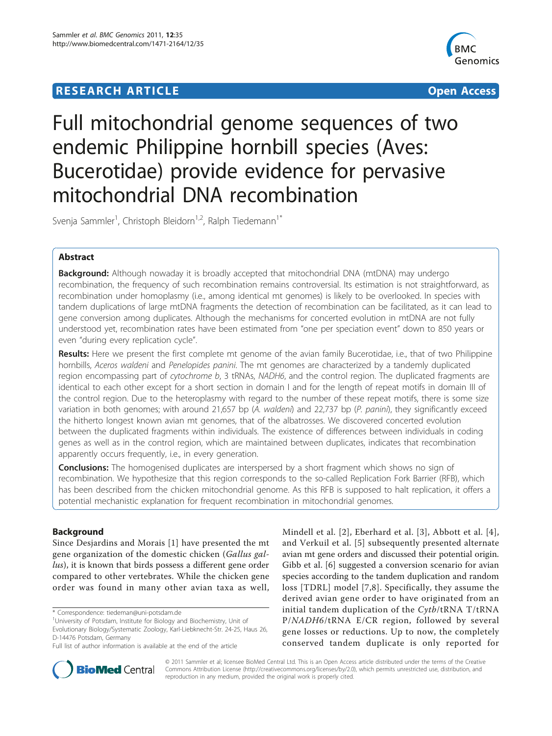## **RESEARCH ARTICLE External Structure Community Community Community Community Community Community Community Community Community Community Community Community Community Community Community Community Community Community Com**



# Full mitochondrial genome sequences of two endemic Philippine hornbill species (Aves: Bucerotidae) provide evidence for pervasive mitochondrial DNA recombination

Svenja Sammler<sup>1</sup>, Christoph Bleidorn<sup>1,2</sup>, Ralph Tiedemann<sup>1\*</sup>

## Abstract

**Background:** Although nowaday it is broadly accepted that mitochondrial DNA (mtDNA) may undergo recombination, the frequency of such recombination remains controversial. Its estimation is not straightforward, as recombination under homoplasmy (i.e., among identical mt genomes) is likely to be overlooked. In species with tandem duplications of large mtDNA fragments the detection of recombination can be facilitated, as it can lead to gene conversion among duplicates. Although the mechanisms for concerted evolution in mtDNA are not fully understood yet, recombination rates have been estimated from "one per speciation event" down to 850 years or even "during every replication cycle".

Results: Here we present the first complete mt genome of the avian family Bucerotidae, i.e., that of two Philippine hornbills, Aceros waldeni and Penelopides panini. The mt genomes are characterized by a tandemly duplicated region encompassing part of cytochrome b, 3 tRNAs, NADH6, and the control region. The duplicated fragments are identical to each other except for a short section in domain I and for the length of repeat motifs in domain III of the control region. Due to the heteroplasmy with regard to the number of these repeat motifs, there is some size variation in both genomes; with around 21,657 bp (A. waldeni) and 22,737 bp (P. panini), they significantly exceed the hitherto longest known avian mt genomes, that of the albatrosses. We discovered concerted evolution between the duplicated fragments within individuals. The existence of differences between individuals in coding genes as well as in the control region, which are maintained between duplicates, indicates that recombination apparently occurs frequently, i.e., in every generation.

**Conclusions:** The homogenised duplicates are interspersed by a short fragment which shows no sign of recombination. We hypothesize that this region corresponds to the so-called Replication Fork Barrier (RFB), which has been described from the chicken mitochondrial genome. As this RFB is supposed to halt replication, it offers a potential mechanistic explanation for frequent recombination in mitochondrial genomes.

## Background

Since Desjardins and Morais [[1\]](#page-8-0) have presented the mt gene organization of the domestic chicken (Gallus gallus), it is known that birds possess a different gene order compared to other vertebrates. While the chicken gene order was found in many other avian taxa as well,

\* Correspondence: [tiedeman@uni-potsdam.de](mailto:tiedeman@uni-potsdam.de)

Mindell et al. [[2](#page-8-0)], Eberhard et al. [[3](#page-8-0)], Abbott et al. [[4](#page-8-0)], and Verkuil et al. [[5\]](#page-8-0) subsequently presented alternate avian mt gene orders and discussed their potential origin. Gibb et al. [\[6](#page-8-0)] suggested a conversion scenario for avian species according to the tandem duplication and random loss [TDRL] model [[7,8](#page-8-0)]. Specifically, they assume the derived avian gene order to have originated from an initial tandem duplication of the Cytb/tRNA T/tRNA P/NADH6/tRNA E/CR region, followed by several gene losses or reductions. Up to now, the completely conserved tandem duplicate is only reported for



© 2011 Sammler et al; licensee BioMed Central Ltd. This is an Open Access article distributed under the terms of the Creative Commons Attribution License [\(http://creativecommons.org/licenses/by/2.0](http://creativecommons.org/licenses/by/2.0)), which permits unrestricted use, distribution, and reproduction in any medium, provided the original work is properly cited.

<sup>&</sup>lt;sup>1</sup>University of Potsdam, Institute for Biology and Biochemistry, Unit of Evolutionary Biology/Systematic Zoology, Karl-Liebknecht-Str. 24-25, Haus 26, D-14476 Potsdam, Germany

Full list of author information is available at the end of the article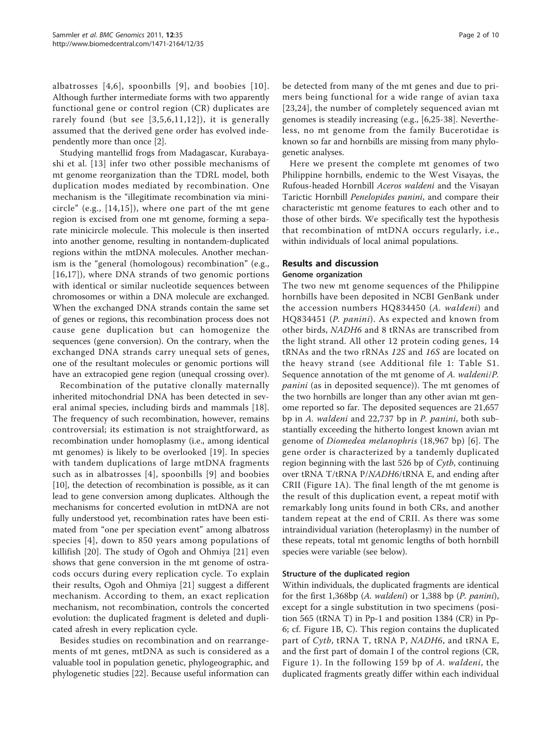albatrosses [[4,6\]](#page-8-0), spoonbills [[9\]](#page-8-0), and boobies [[10\]](#page-8-0). Although further intermediate forms with two apparently functional gene or control region (CR) duplicates are rarely found (but see [[3,5,6](#page-8-0),[11,12](#page-8-0)]), it is generally assumed that the derived gene order has evolved independently more than once [\[2](#page-8-0)].

Studying mantellid frogs from Madagascar, Kurabayashi et al. [[13](#page-8-0)] infer two other possible mechanisms of mt genome reorganization than the TDRL model, both duplication modes mediated by recombination. One mechanism is the "illegitimate recombination via minicircle" (e.g., [[14](#page-8-0),[15](#page-8-0)]), where one part of the mt gene region is excised from one mt genome, forming a separate minicircle molecule. This molecule is then inserted into another genome, resulting in nontandem-duplicated regions within the mtDNA molecules. Another mechanism is the "general (homologous) recombination" (e.g., [[16](#page-8-0),[17\]](#page-8-0)), where DNA strands of two genomic portions with identical or similar nucleotide sequences between chromosomes or within a DNA molecule are exchanged. When the exchanged DNA strands contain the same set of genes or regions, this recombination process does not cause gene duplication but can homogenize the sequences (gene conversion). On the contrary, when the exchanged DNA strands carry unequal sets of genes, one of the resultant molecules or genomic portions will have an extracopied gene region (unequal crossing over).

Recombination of the putative clonally maternally inherited mitochondrial DNA has been detected in several animal species, including birds and mammals [[18](#page-8-0)]. The frequency of such recombination, however, remains controversial; its estimation is not straightforward, as recombination under homoplasmy (i.e., among identical mt genomes) is likely to be overlooked [[19\]](#page-8-0). In species with tandem duplications of large mtDNA fragments such as in albatrosses [[4\]](#page-8-0), spoonbills [[9\]](#page-8-0) and boobies [[10\]](#page-8-0), the detection of recombination is possible, as it can lead to gene conversion among duplicates. Although the mechanisms for concerted evolution in mtDNA are not fully understood yet, recombination rates have been estimated from "one per speciation event" among albatross species [[4\]](#page-8-0), down to 850 years among populations of killifish [[20\]](#page-8-0). The study of Ogoh and Ohmiya [[21\]](#page-9-0) even shows that gene conversion in the mt genome of ostracods occurs during every replication cycle. To explain their results, Ogoh and Ohmiya [\[21](#page-9-0)] suggest a different mechanism. According to them, an exact replication mechanism, not recombination, controls the concerted evolution: the duplicated fragment is deleted and duplicated afresh in every replication cycle.

Besides studies on recombination and on rearrangements of mt genes, mtDNA as such is considered as a valuable tool in population genetic, phylogeographic, and phylogenetic studies [\[22\]](#page-9-0). Because useful information can be detected from many of the mt genes and due to primers being functional for a wide range of avian taxa [[23](#page-9-0),[24](#page-9-0)], the number of completely sequenced avian mt genomes is steadily increasing (e.g., [[6,](#page-8-0)[25-38\]](#page-9-0). Nevertheless, no mt genome from the family Bucerotidae is known so far and hornbills are missing from many phylogenetic analyses.

Here we present the complete mt genomes of two Philippine hornbills, endemic to the West Visayas, the Rufous-headed Hornbill Aceros waldeni and the Visayan Tarictic Hornbill Penelopides panini, and compare their characteristic mt genome features to each other and to those of other birds. We specifically test the hypothesis that recombination of mtDNA occurs regularly, i.e., within individuals of local animal populations.

## Results and discussion

#### Genome organization

The two new mt genome sequences of the Philippine hornbills have been deposited in NCBI GenBank under the accession numbers [HQ834450](http://www.ncbi.nih.gov/entrez/query.fcgi?db=Nucleotide&cmd=search&term=HQ834450) (A. waldeni) and [HQ834451](http://www.ncbi.nih.gov/entrez/query.fcgi?db=Nucleotide&cmd=search&term=HQ834451) (P. panini). As expected and known from other birds, NADH6 and 8 tRNAs are transcribed from the light strand. All other 12 protein coding genes, 14 tRNAs and the two rRNAs 12S and 16S are located on the heavy strand (see Additional file [1:](#page-8-0) Table S1. Sequence annotation of the mt genome of A. waldeni/P. panini (as in deposited sequence)). The mt genomes of the two hornbills are longer than any other avian mt genome reported so far. The deposited sequences are 21,657 bp in A. waldeni and 22,737 bp in P. panini, both substantially exceeding the hitherto longest known avian mt genome of Diomedea melanophris (18,967 bp) [[6](#page-8-0)]. The gene order is characterized by a tandemly duplicated region beginning with the last 526 bp of Cytb, continuing over tRNA T/tRNA P/NADH6/tRNA E, and ending after CRII (Figure [1A](#page-2-0)). The final length of the mt genome is the result of this duplication event, a repeat motif with remarkably long units found in both CRs, and another tandem repeat at the end of CRII. As there was some intraindividual variation (heteroplasmy) in the number of these repeats, total mt genomic lengths of both hornbill species were variable (see below).

#### Structure of the duplicated region

Within individuals, the duplicated fragments are identical for the first 1,368bp (A. waldeni) or 1,388 bp (P. panini), except for a single substitution in two specimens (position 565 (tRNA T) in Pp-1 and position 1384 (CR) in Pp-6; cf. Figure [1B, C](#page-2-0)). This region contains the duplicated part of Cytb, tRNA T, tRNA P, NADH6, and tRNA E, and the first part of domain I of the control regions (CR, Figure [1\)](#page-2-0). In the following 159 bp of A. waldeni, the duplicated fragments greatly differ within each individual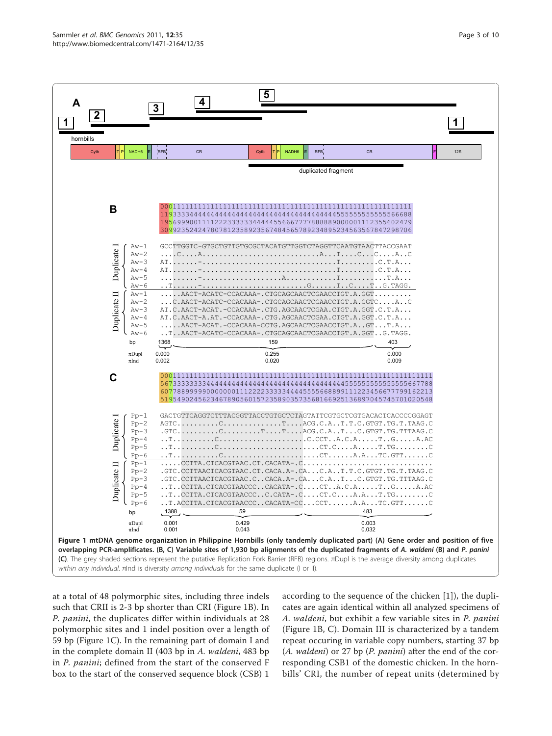<span id="page-2-0"></span>Sammler et al. BMC Genomics 2011, 12:35 http://www.biomedcentral.com/1471-2164/12/35



at a total of 48 polymorphic sites, including three indels such that CRII is 2-3 bp shorter than CRI (Figure 1B). In P. panini, the duplicates differ within individuals at 28 polymorphic sites and 1 indel position over a length of 59 bp (Figure 1C). In the remaining part of domain I and in the complete domain II (403 bp in A. waldeni, 483 bp in P. panini; defined from the start of the conserved F box to the start of the conserved sequence block (CSB) 1

according to the sequence of the chicken [\[1](#page-8-0)]), the duplicates are again identical within all analyzed specimens of A. waldeni, but exhibit a few variable sites in P. panini (Figure 1B, C). Domain III is characterized by a tandem repeat occuring in variable copy numbers, starting 37 bp (A. waldeni) or 27 bp (P. panini) after the end of the corresponding CSB1 of the domestic chicken. In the hornbills' CRI, the number of repeat units (determined by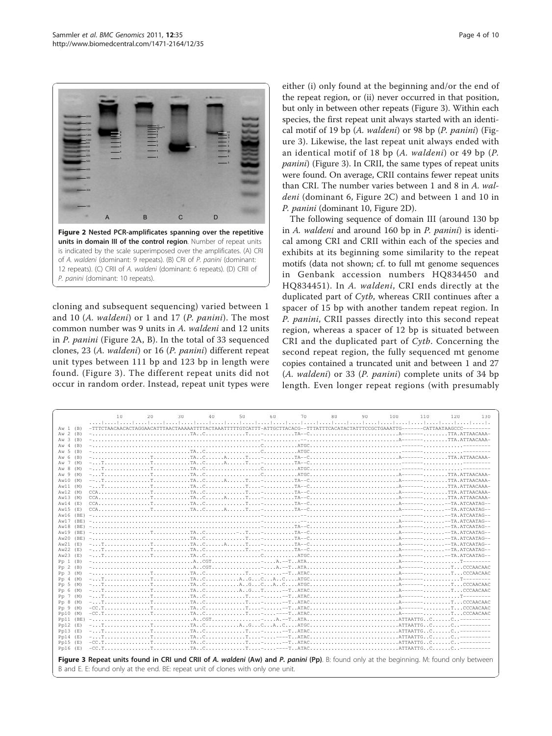

cloning and subsequent sequencing) varied between 1 and 10 (A. waldeni) or 1 and 17 (P. panini). The most common number was 9 units in A. waldeni and 12 units in P. panini (Figure 2A, B). In the total of 33 sequenced clones, 23 (A. waldeni) or 16 (P. panini) different repeat unit types between 111 bp and 123 bp in length were found. (Figure 3). The different repeat units did not occur in random order. Instead, repeat unit types were either (i) only found at the beginning and/or the end of the repeat region, or (ii) never occurred in that position, but only in between other repeats (Figure 3). Within each species, the first repeat unit always started with an identical motif of 19 bp (A. waldeni) or 98 bp (P. panini) (Figure 3). Likewise, the last repeat unit always ended with an identical motif of 18 bp (A. waldeni) or 49 bp (P. panini) (Figure 3). In CRII, the same types of repeat units were found. On average, CRII contains fewer repeat units than CRI. The number varies between 1 and 8 in A. waldeni (dominant 6, Figure 2C) and between 1 and 10 in P. panini (dominant 10, Figure 2D).

The following sequence of domain III (around 130 bp in A. waldeni and around 160 bp in P. panini) is identical among CRI and CRII within each of the species and exhibits at its beginning some similarity to the repeat motifs (data not shown; cf. to full mt genome sequences in Genbank accession numbers [HQ834450](http://www.ncbi.nih.gov/entrez/query.fcgi?db=Nucleotide&cmd=search&term=HQ834450) and [HQ834451\)](http://www.ncbi.nih.gov/entrez/query.fcgi?db=Nucleotide&cmd=search&term=HQ834451). In A. waldeni, CRI ends directly at the duplicated part of Cytb, whereas CRII continues after a spacer of 15 bp with another tandem repeat region. In P. panini, CRII passes directly into this second repeat region, whereas a spacer of 12 bp is situated between CRI and the duplicated part of Cytb. Concerning the second repeat region, the fully sequenced mt genome copies contained a truncated unit and between 1 and 27 (A. waldeni) or 33 (P. panini) complete units of 34 bp length. Even longer repeat regions (with presumably

|                                                                                                                                          | 10                                                                                                                                                                                                                                                                                                                                                                                                                                                                                          | 20 | 30 | 40 | 50 | 60 | 70 | 80 | 90 | 100 | 110 | 120 | 130 |
|------------------------------------------------------------------------------------------------------------------------------------------|---------------------------------------------------------------------------------------------------------------------------------------------------------------------------------------------------------------------------------------------------------------------------------------------------------------------------------------------------------------------------------------------------------------------------------------------------------------------------------------------|----|----|----|----|----|----|----|----|-----|-----|-----|-----|
|                                                                                                                                          |                                                                                                                                                                                                                                                                                                                                                                                                                                                                                             |    |    |    |    |    |    |    |    |     |     |     |     |
| Aw 1 (B)                                                                                                                                 | -TTTCTAACAACACTAGGAACATTTAACTAAAAATTTTACTAAATTTTGTCATTT-ATTGCTTACACG--TTTATTTCACATACTATTTCCGCTGAAATTG-------CATTAATAAGCCC--------                                                                                                                                                                                                                                                                                                                                                           |    |    |    |    |    |    |    |    |     |     |     |     |
| Aw $2$ (B)                                                                                                                               |                                                                                                                                                                                                                                                                                                                                                                                                                                                                                             |    |    |    |    |    |    |    |    |     |     |     |     |
| Aw $3$ (B)                                                                                                                               |                                                                                                                                                                                                                                                                                                                                                                                                                                                                                             |    |    |    |    |    |    |    |    |     |     |     |     |
| Aw $4$ (B)                                                                                                                               |                                                                                                                                                                                                                                                                                                                                                                                                                                                                                             |    |    |    |    |    |    |    |    |     |     |     |     |
| Aw $5$ (B)                                                                                                                               |                                                                                                                                                                                                                                                                                                                                                                                                                                                                                             |    |    |    |    |    |    |    |    |     |     |     |     |
| Aw $6$ (B)                                                                                                                               |                                                                                                                                                                                                                                                                                                                                                                                                                                                                                             |    |    |    |    |    |    |    |    |     |     |     |     |
| Aw 7 (M)                                                                                                                                 |                                                                                                                                                                                                                                                                                                                                                                                                                                                                                             |    |    |    |    |    |    |    |    |     |     |     |     |
| Aw $8$ (M)                                                                                                                               |                                                                                                                                                                                                                                                                                                                                                                                                                                                                                             |    |    |    |    |    |    |    |    |     |     |     |     |
| Aw 9 (M)                                                                                                                                 |                                                                                                                                                                                                                                                                                                                                                                                                                                                                                             |    |    |    |    |    |    |    |    |     |     |     |     |
| $Aw10$ (M)                                                                                                                               |                                                                                                                                                                                                                                                                                                                                                                                                                                                                                             |    |    |    |    |    |    |    |    |     |     |     |     |
| $Aw11$ (M)                                                                                                                               |                                                                                                                                                                                                                                                                                                                                                                                                                                                                                             |    |    |    |    |    |    |    |    |     |     |     |     |
| Aw12 (M)                                                                                                                                 |                                                                                                                                                                                                                                                                                                                                                                                                                                                                                             |    |    |    |    |    |    |    |    |     |     |     |     |
| Aw13 (M)                                                                                                                                 |                                                                                                                                                                                                                                                                                                                                                                                                                                                                                             |    |    |    |    |    |    |    |    |     |     |     |     |
| Aw14(E)                                                                                                                                  | $CA, \ldots, \ldots, \ldots, \text{T}, \ldots, \text{TA}, \ldots, \text{TA}, \ldots, \text{TA}, \ldots, \text{T}, \ldots, \text{TA}, \text{TC}, \ldots, \text{TA}, \text{TC}, \ldots, \text{TA}, \text{TC}, \ldots, \text{TA}, \text{TC}, \ldots, \text{TA}, \text{TC}, \text{TA}, \text{TC}, \ldots, \text{TA}, \text{TC}, \text{TA}, \text{TC}, \ldots, \text{TA}, \text{TC}, \text{TA}, \text{TC}, \ldots, \text{TA}, \text{TC}, \ldots, \text{TA}, \text{TC}, \ldots, \text{TA}, \text$ |    |    |    |    |    |    |    |    |     |     |     |     |
| $Aw15$ (E)                                                                                                                               | $CCA, \ldots, \ldots, \ldots, \text{T}, \ldots, \text{TA}, \ldots, \text{TA}, \ldots, \text{TA}, \ldots, \text{T}, \ldots, \text{TA}, \text{TC}, \ldots, \text{TA}, \text{TC}, \ldots, \text{TA}, \text{TC}, \ldots, \text{TA}, \text{TC}, \ldots, \text{TA}, \text{TC}, \text{TA}, \text{TC}, \ldots, \text{TA}, \text{TC}, \text{TA}, \text{TC}, \ldots, \text{TA}, \text{TC}, \text{TA}, \text{TC}, \ldots, \text{TA}, \text{TC}, \ldots, \text{TA}, \text{TC}, \ldots, \text{TA}, \$    |    |    |    |    |    |    |    |    |     |     |     |     |
|                                                                                                                                          |                                                                                                                                                                                                                                                                                                                                                                                                                                                                                             |    |    |    |    |    |    |    |    |     |     |     |     |
|                                                                                                                                          |                                                                                                                                                                                                                                                                                                                                                                                                                                                                                             |    |    |    |    |    |    |    |    |     |     |     |     |
|                                                                                                                                          |                                                                                                                                                                                                                                                                                                                                                                                                                                                                                             |    |    |    |    |    |    |    |    |     |     |     |     |
|                                                                                                                                          |                                                                                                                                                                                                                                                                                                                                                                                                                                                                                             |    |    |    |    |    |    |    |    |     |     |     |     |
|                                                                                                                                          |                                                                                                                                                                                                                                                                                                                                                                                                                                                                                             |    |    |    |    |    |    |    |    |     |     |     |     |
| Aw21 (E)                                                                                                                                 |                                                                                                                                                                                                                                                                                                                                                                                                                                                                                             |    |    |    |    |    |    |    |    |     |     |     |     |
| Aw22 (E)                                                                                                                                 |                                                                                                                                                                                                                                                                                                                                                                                                                                                                                             |    |    |    |    |    |    |    |    |     |     |     |     |
| Aw23 (E)                                                                                                                                 |                                                                                                                                                                                                                                                                                                                                                                                                                                                                                             |    |    |    |    |    |    |    |    |     |     |     |     |
| Pp 1 (B)                                                                                                                                 |                                                                                                                                                                                                                                                                                                                                                                                                                                                                                             |    |    |    |    |    |    |    |    |     |     |     |     |
| Pp 2 (B)                                                                                                                                 |                                                                                                                                                                                                                                                                                                                                                                                                                                                                                             |    |    |    |    |    |    |    |    |     |     |     |     |
| Pp 3 (M)                                                                                                                                 |                                                                                                                                                                                                                                                                                                                                                                                                                                                                                             |    |    |    |    |    |    |    |    |     |     |     |     |
| Pp 4 (M)                                                                                                                                 |                                                                                                                                                                                                                                                                                                                                                                                                                                                                                             |    |    |    |    |    |    |    |    |     |     |     |     |
| Pp 5 (M)                                                                                                                                 |                                                                                                                                                                                                                                                                                                                                                                                                                                                                                             |    |    |    |    |    |    |    |    |     |     |     |     |
| Pp6<br>(M)                                                                                                                               |                                                                                                                                                                                                                                                                                                                                                                                                                                                                                             |    |    |    |    |    |    |    |    |     |     |     |     |
| Pp 7 (M)                                                                                                                                 |                                                                                                                                                                                                                                                                                                                                                                                                                                                                                             |    |    |    |    |    |    |    |    |     |     |     |     |
| Pp 8<br>(M)                                                                                                                              |                                                                                                                                                                                                                                                                                                                                                                                                                                                                                             |    |    |    |    |    |    |    |    |     |     |     |     |
| Pp9(M)                                                                                                                                   | $-CC,T, \ldots, \ldots, \ldots, \tilde{T}, \ldots, \ldots, \tilde{T}, \ldots, \tilde{T}, \ldots, \tilde{T}, \ldots, \tilde{T}, \ldots, \tilde{T}, \ldots, \tilde{T}, \ldots, \tilde{T}, \ldots, \tilde{T}, \ldots, \tilde{T}, \ldots, \tilde{T}, \ldots, \tilde{T}, \ldots, \tilde{T}, \ldots, \tilde{T}, \ldots, \tilde{T}, \ldots, \tilde{T}, \ldots, \tilde{T}, \ldots, \tilde{T}, \ldots, \tilde{T}, \ldots, \tilde{T}, \ldots, \tilde{T}, \ldots, \tilde{T}, \ldots, \til$             |    |    |    |    |    |    |    |    |     |     |     |     |
| $Pp10$ (M)                                                                                                                               | $-CC,T, \ldots, \ldots, \ldots, \tilde{T}, \ldots, \ldots, \tilde{T}, \ldots, \tilde{T}, \ldots, \tilde{T}, \ldots, \tilde{T}, \ldots, \tilde{T}, \ldots, \tilde{T}, \ldots, \tilde{T}, \ldots, \tilde{T}, \ldots, \tilde{T}, \ldots, \tilde{T}, \ldots, \tilde{T}, \ldots, \tilde{T}, \ldots, \tilde{T}, \ldots, \tilde{T}, \ldots, \tilde{T}, \ldots, \tilde{T}, \ldots, \tilde{T}, \ldots, \tilde{T}, \ldots, \tilde{T}, \ldots, \tilde{T}, \ldots, \tilde{T}, \ldots, \til$             |    |    |    |    |    |    |    |    |     |     |     |     |
| Pp11 (BE)                                                                                                                                |                                                                                                                                                                                                                                                                                                                                                                                                                                                                                             |    |    |    |    |    |    |    |    |     |     |     |     |
| $Pp12$ (E)                                                                                                                               |                                                                                                                                                                                                                                                                                                                                                                                                                                                                                             |    |    |    |    |    |    |    |    |     |     |     |     |
| $Pp13$ $(E)$                                                                                                                             | $-1.1$ , $\ldots$ , $\ldots$ , $\ldots$ , $\ldots$ , $\ldots$ , $\ldots$ , $\ldots$ , $\ldots$ , $\ldots$ , $\ldots$ , $\ldots$ , $\ldots$ , $\ldots$ , $\ldots$ , $\ldots$ , $\ldots$ , $\ldots$ , $\ldots$ , $\ldots$ , $\ldots$ , $\ldots$ , $\ldots$ , $\ldots$ , $\ldots$ , $\ldots$ , $\ldots$ , $\ldots$ , $\ldots$ , $\ldots$ , $\ldots$ , $\ld$                                                                                                                                    |    |    |    |    |    |    |    |    |     |     |     |     |
| $Pp14$ $(E)$                                                                                                                             |                                                                                                                                                                                                                                                                                                                                                                                                                                                                                             |    |    |    |    |    |    |    |    |     |     |     |     |
| $Pp15$ $(E)$                                                                                                                             | $-CC,T, \ldots, \ldots, \ldots, \tilde{T}, \ldots, \ldots, \tilde{T}, \ldots, \tilde{T}, \ldots, \tilde{T}, \ldots, \tilde{T}, \ldots, \tilde{T}, \ldots, \tilde{T}, \tilde{T}, \tilde{A}^T \tilde{A} C, \ldots, \ldots, \ldots, \ldots, \ldots, \ldots, \ldots, \tilde{A}^T \tilde{T} \tilde{A} \tilde{A}^T \tilde{T} \tilde{G}, \ldots, \ldots, \tilde{C}, \ldots, \tilde{T}, \ldots, \tilde{T}, \ldots, \tilde{T}, \ldots, \tilde{T}, \ldots,$                                           |    |    |    |    |    |    |    |    |     |     |     |     |
| $Pp16$ (E)                                                                                                                               | $-CC,T, \ldots, \ldots, \ldots, T, \ldots, \ldots, T A, C, \ldots, \ldots, \ldots, T, \ldots, -1, \ldots, -T, \ldots, \texttt{ATAC}, \ldots, \ldots, \ldots, \ldots, \ldots, \ldots, \texttt{ATTAATTGC} \ldots, \ldots, \texttt{TATTAATTGC}$                                                                                                                                                                                                                                                |    |    |    |    |    |    |    |    |     |     |     |     |
| Figure 3 Repeat units found in CRI und CRII of A. waldeni (Aw) and P. panini (Pp). B: found only at the beginning. M: found only between |                                                                                                                                                                                                                                                                                                                                                                                                                                                                                             |    |    |    |    |    |    |    |    |     |     |     |     |
|                                                                                                                                          |                                                                                                                                                                                                                                                                                                                                                                                                                                                                                             |    |    |    |    |    |    |    |    |     |     |     |     |
|                                                                                                                                          | B and E. E: found only at the end. BE: repeat unit of clones with only one unit.                                                                                                                                                                                                                                                                                                                                                                                                            |    |    |    |    |    |    |    |    |     |     |     |     |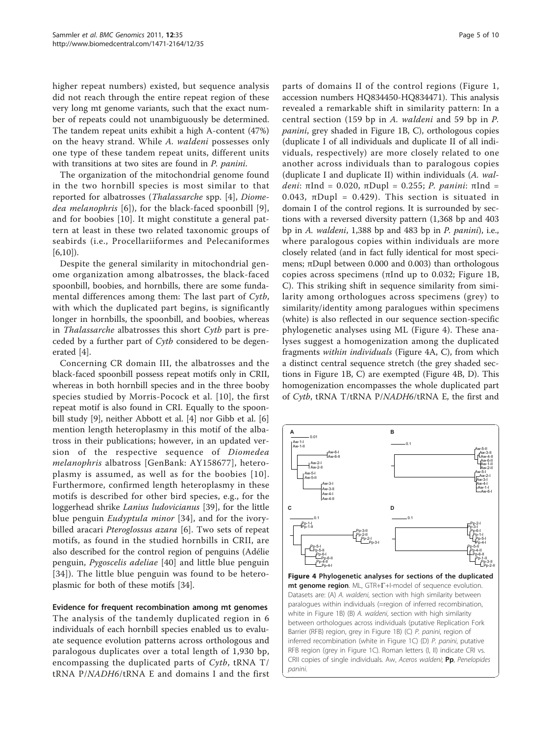higher repeat numbers) existed, but sequence analysis did not reach through the entire repeat region of these very long mt genome variants, such that the exact number of repeats could not unambiguously be determined. The tandem repeat units exhibit a high A-content (47%) on the heavy strand. While A. waldeni possesses only one type of these tandem repeat units, different units with transitions at two sites are found in *P. panini*.

The organization of the mitochondrial genome found in the two hornbill species is most similar to that reported for albatrosses (Thalassarche spp. [[4](#page-8-0)], Diomedea melanophris [[6\]](#page-8-0)), for the black-faced spoonbill [[9](#page-8-0)], and for boobies [[10\]](#page-8-0). It might constitute a general pattern at least in these two related taxonomic groups of seabirds (i.e., Procellariiformes and Pelecaniformes  $[6,10]$  $[6,10]$ ).

Despite the general similarity in mitochondrial genome organization among albatrosses, the black-faced spoonbill, boobies, and hornbills, there are some fundamental differences among them: The last part of Cytb, with which the duplicated part begins, is significantly longer in hornbills, the spoonbill, and boobies, whereas in Thalassarche albatrosses this short Cytb part is preceded by a further part of Cytb considered to be degenerated [\[4](#page-8-0)].

Concerning CR domain III, the albatrosses and the black-faced spoonbill possess repeat motifs only in CRII, whereas in both hornbill species and in the three booby species studied by Morris-Pocock et al. [[10\]](#page-8-0), the first repeat motif is also found in CRI. Equally to the spoonbill study [[9\]](#page-8-0), neither Abbott et al. [\[4](#page-8-0)] nor Gibb et al. [[6](#page-8-0)] mention length heteroplasmy in this motif of the albatross in their publications; however, in an updated version of the respective sequence of Diomedea melanophris albatross [GenBank: [AY158677\]](http://www.ncbi.nih.gov/entrez/query.fcgi?db=Nucleotide&cmd=search&term=AY158677), heteroplasmy is assumed, as well as for the boobies [[10\]](#page-8-0). Furthermore, confirmed length heteroplasmy in these motifs is described for other bird species, e.g., for the loggerhead shrike Lanius ludovicianus [\[39\]](#page-9-0), for the little blue penguin *Eudyptula minor* [[34](#page-9-0)], and for the ivorybilled aracari Pteroglossus azara [\[6](#page-8-0)]. Two sets of repeat motifs, as found in the studied hornbills in CRII, are also described for the control region of penguins (Adélie penguin, Pygoscelis adeliae [\[40](#page-9-0)] and little blue penguin [[34](#page-9-0)]). The little blue penguin was found to be heteroplasmic for both of these motifs [[34\]](#page-9-0).

Evidence for frequent recombination among mt genomes The analysis of the tandemly duplicated region in 6 individuals of each hornbill species enabled us to evaluate sequence evolution patterns across orthologous and paralogous duplicates over a total length of 1,930 bp, encompassing the duplicated parts of Cytb, tRNA T/ tRNA P/NADH6/tRNA E and domains I and the first

parts of domains II of the control regions (Figure [1](#page-2-0), accession numbers [HQ834450-](http://www.ncbi.nih.gov/entrez/query.fcgi?db=Nucleotide&cmd=search&term=HQ834450)[HQ834471](http://www.ncbi.nih.gov/entrez/query.fcgi?db=Nucleotide&cmd=search&term=HQ834471)). This analysis revealed a remarkable shift in similarity pattern: In a central section (159 bp in A. waldeni and 59 bp in P. panini, grey shaded in Figure [1B, C](#page-2-0)), orthologous copies (duplicate I of all individuals and duplicate II of all individuals, respectively) are more closely related to one another across individuals than to paralogous copies (duplicate I and duplicate II) within individuals (A. waldeni: πInd = 0.020, πDupl = 0.255; P. panini: πInd = 0.043, πDupl = 0.429). This section is situated in domain I of the control regions. It is surrounded by sections with a reversed diversity pattern (1,368 bp and 403 bp in A. waldeni, 1,388 bp and 483 bp in P. panini), i.e., where paralogous copies within individuals are more closely related (and in fact fully identical for most specimens; πDupl between 0.000 and 0.003) than orthologous copies across specimens (πInd up to 0.032; Figure [1B,](#page-2-0) [C](#page-2-0)). This striking shift in sequence similarity from similarity among orthologues across specimens (grey) to similarity/identity among paralogues within specimens (white) is also reflected in our sequence section-specific phylogenetic analyses using ML (Figure 4). These analyses suggest a homogenization among the duplicated fragments within individuals (Figure 4A, C), from which a distinct central sequence stretch (the grey shaded sections in Figure [1B, C](#page-2-0)) are exempted (Figure 4B, D). This homogenization encompasses the whole duplicated part of Cytb, tRNA T/tRNA P/NADH6/tRNA E, the first and



Figure 4 Phylogenetic analyses for sections of the duplicated mt genome region. ML, GTR+Γ+I-model of sequence evolution. Datasets are: (A) A. waldeni, section with high similarity between paralogues within individuals (=region of inferred recombination, white in Figure 1B) (B) A. waldeni, section with high similarity between orthologues across individuals (putative Replication Fork Barrier (RFB) region, grey in Figure 1B) (C) P. panini, region of inferred recombination (white in Figure 1C) (D) P. panini, putative RFB region (grey in Figure 1C). Roman letters (I, II) indicate CRI vs. CRII copies of single individuals. Aw, Aceros waldeni; Pp, Penelopides panini.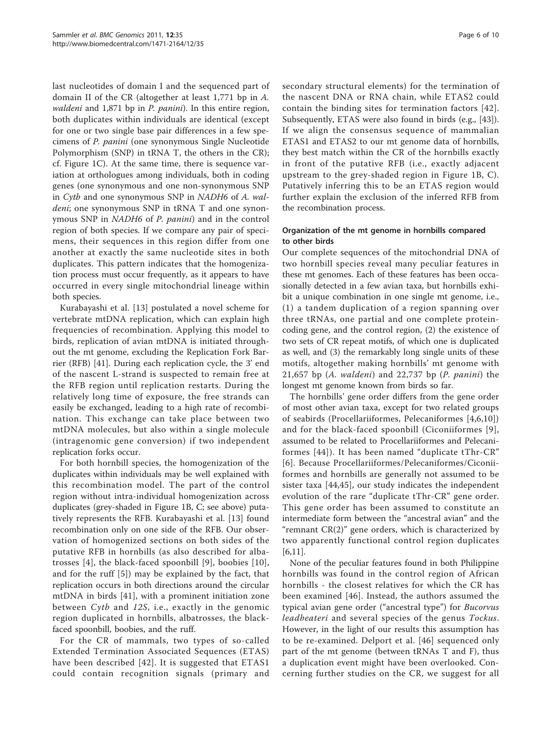last nucleotides of domain I and the sequenced part of domain II of the CR (altogether at least 1,771 bp in A. waldeni and 1,871 bp in P. panini). In this entire region, both duplicates within individuals are identical (except for one or two single base pair differences in a few specimens of P. panini (one synonymous Single Nucleotide Polymorphism (SNP) in tRNA T, the others in the CR); cf. Figure [1C\)](#page-2-0). At the same time, there is sequence variation at orthologues among individuals, both in coding genes (one synonymous and one non-synonymous SNP in Cytb and one synonymous SNP in NADH6 of A. waldeni; one synonymous SNP in tRNA T and one synonymous SNP in NADH6 of P. panini) and in the control region of both species. If we compare any pair of specimens, their sequences in this region differ from one another at exactly the same nucleotide sites in both duplicates. This pattern indicates that the homogenization process must occur frequently, as it appears to have occurred in every single mitochondrial lineage within both species.

Kurabayashi et al. [[13\]](#page-8-0) postulated a novel scheme for vertebrate mtDNA replication, which can explain high frequencies of recombination. Applying this model to birds, replication of avian mtDNA is initiated throughout the mt genome, excluding the Replication Fork Barrier (RFB) [\[41\]](#page-9-0). During each replication cycle, the 3' end of the nascent L-strand is suspected to remain free at the RFB region until replication restarts. During the relatively long time of exposure, the free strands can easily be exchanged, leading to a high rate of recombination. This exchange can take place between two mtDNA molecules, but also within a single molecule (intragenomic gene conversion) if two independent replication forks occur.

For both hornbill species, the homogenization of the duplicates within individuals may be well explained with this recombination model. The part of the control region without intra-individual homogenization across duplicates (grey-shaded in Figure [1B, C](#page-2-0); see above) putatively represents the RFB. Kurabayashi et al. [[13\]](#page-8-0) found recombination only on one side of the RFB. Our observation of homogenized sections on both sides of the putative RFB in hornbills (as also described for albatrosses [[4\]](#page-8-0), the black-faced spoonbill [\[9](#page-8-0)], boobies [[10](#page-8-0)], and for the ruff [[5](#page-8-0)]) may be explained by the fact, that replication occurs in both directions around the circular mtDNA in birds [[41](#page-9-0)], with a prominent initiation zone between Cytb and 12S, i.e., exactly in the genomic region duplicated in hornbills, albatrosses, the blackfaced spoonbill, boobies, and the ruff.

For the CR of mammals, two types of so-called Extended Termination Associated Sequences (ETAS) have been described [[42](#page-9-0)]. It is suggested that ETAS1 could contain recognition signals (primary and secondary structural elements) for the termination of the nascent DNA or RNA chain, while ETAS2 could contain the binding sites for termination factors [[42](#page-9-0)]. Subsequently, ETAS were also found in birds (e.g., [\[43](#page-9-0)]). If we align the consensus sequence of mammalian ETAS1 and ETAS2 to our mt genome data of hornbills, they best match within the CR of the hornbills exactly in front of the putative RFB (i.e., exactly adjacent upstream to the grey-shaded region in Figure [1B, C\)](#page-2-0). Putatively inferring this to be an ETAS region would further explain the exclusion of the inferred RFB from the recombination process.

## Organization of the mt genome in hornbills compared to other birds

Our complete sequences of the mitochondrial DNA of two hornbill species reveal many peculiar features in these mt genomes. Each of these features has been occasionally detected in a few avian taxa, but hornbills exhibit a unique combination in one single mt genome, i.e., (1) a tandem duplication of a region spanning over three tRNAs, one partial and one complete proteincoding gene, and the control region, (2) the existence of two sets of CR repeat motifs, of which one is duplicated as well, and (3) the remarkably long single units of these motifs, altogether making hornbills' mt genome with 21,657 bp  $(A. waldeni)$  and 22,737 bp  $(P. paniini)$  the longest mt genome known from birds so far.

The hornbills' gene order differs from the gene order of most other avian taxa, except for two related groups of seabirds (Procellariiformes, Pelecaniformes [[4,6,10\]](#page-8-0)) and for the black-faced spoonbill (Ciconiiformes [[9\]](#page-8-0), assumed to be related to Procellariiformes and Pelecaniformes [[44\]](#page-9-0)). It has been named "duplicate tThr-CR" [[6](#page-8-0)]. Because Procellariiformes/Pelecaniformes/Ciconiiformes and hornbills are generally not assumed to be sister taxa [\[44](#page-9-0),[45\]](#page-9-0), our study indicates the independent evolution of the rare "duplicate tThr-CR" gene order. This gene order has been assumed to constitute an intermediate form between the "ancestral avian" and the "remnant CR(2)" gene orders, which is characterized by two apparently functional control region duplicates [[6,11\]](#page-8-0).

None of the peculiar features found in both Philippine hornbills was found in the control region of African hornbills - the closest relatives for which the CR has been examined [[46](#page-9-0)]. Instead, the authors assumed the typical avian gene order ("ancestral type") for Bucorvus leadbeateri and several species of the genus Tockus. However, in the light of our results this assumption has to be re-examined. Delport et al. [[46](#page-9-0)] sequenced only part of the mt genome (between tRNAs T and F), thus a duplication event might have been overlooked. Concerning further studies on the CR, we suggest for all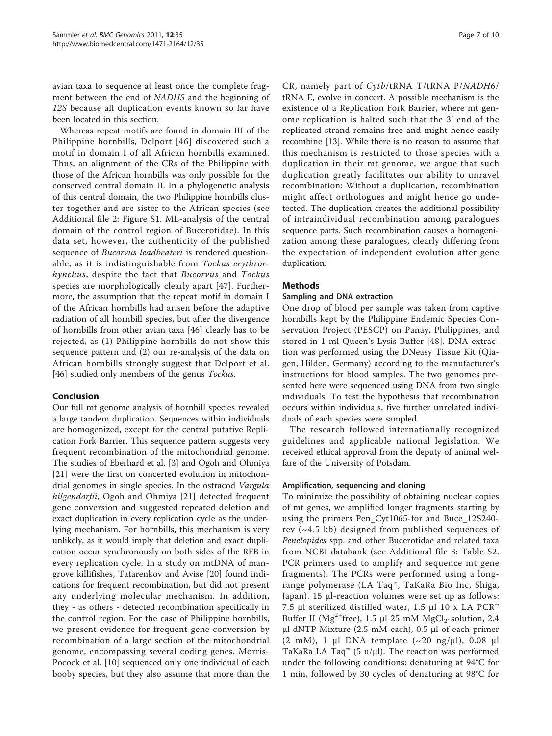avian taxa to sequence at least once the complete fragment between the end of NADH5 and the beginning of 12S because all duplication events known so far have been located in this section.

Whereas repeat motifs are found in domain III of the Philippine hornbills, Delport [[46\]](#page-9-0) discovered such a motif in domain I of all African hornbills examined. Thus, an alignment of the CRs of the Philippine with those of the African hornbills was only possible for the conserved central domain II. In a phylogenetic analysis of this central domain, the two Philippine hornbills cluster together and are sister to the African species (see Additional file [2](#page-8-0): Figure S1. ML-analysis of the central domain of the control region of Bucerotidae). In this data set, however, the authenticity of the published sequence of *Bucorvus leadbeateri* is rendered questionable, as it is indistinguishable from Tockus erythrorhynchus, despite the fact that Bucorvus and Tockus species are morphologically clearly apart [\[47](#page-9-0)]. Furthermore, the assumption that the repeat motif in domain I of the African hornbills had arisen before the adaptive radiation of all hornbill species, but after the divergence of hornbills from other avian taxa [\[46](#page-9-0)] clearly has to be rejected, as (1) Philippine hornbills do not show this sequence pattern and (2) our re-analysis of the data on African hornbills strongly suggest that Delport et al. [[46\]](#page-9-0) studied only members of the genus *Tockus*.

## Conclusion

Our full mt genome analysis of hornbill species revealed a large tandem duplication. Sequences within individuals are homogenized, except for the central putative Replication Fork Barrier. This sequence pattern suggests very frequent recombination of the mitochondrial genome. The studies of Eberhard et al. [[3\]](#page-8-0) and Ogoh and Ohmiya [[21\]](#page-9-0) were the first on concerted evolution in mitochondrial genomes in single species. In the ostracod Vargula hilgendorfii, Ogoh and Ohmiya [[21](#page-9-0)] detected frequent gene conversion and suggested repeated deletion and exact duplication in every replication cycle as the underlying mechanism. For hornbills, this mechanism is very unlikely, as it would imply that deletion and exact duplication occur synchronously on both sides of the RFB in every replication cycle. In a study on mtDNA of mangrove killifishes, Tatarenkov and Avise [\[20](#page-8-0)] found indications for frequent recombination, but did not present any underlying molecular mechanism. In addition, they - as others - detected recombination specifically in the control region. For the case of Philippine hornbills, we present evidence for frequent gene conversion by recombination of a large section of the mitochondrial genome, encompassing several coding genes. Morris-Pocock et al. [[10\]](#page-8-0) sequenced only one individual of each booby species, but they also assume that more than the

CR, namely part of Cytb/tRNA T/tRNA P/NADH6/ tRNA E, evolve in concert. A possible mechanism is the existence of a Replication Fork Barrier, where mt genome replication is halted such that the 3' end of the replicated strand remains free and might hence easily recombine [\[13\]](#page-8-0). While there is no reason to assume that this mechanism is restricted to those species with a duplication in their mt genome, we argue that such duplication greatly facilitates our ability to unravel recombination: Without a duplication, recombination might affect orthologues and might hence go undetected. The duplication creates the additional possibility of intraindividual recombination among paralogues sequence parts. Such recombination causes a homogenization among these paralogues, clearly differing from the expectation of independent evolution after gene duplication.

## Methods

## Sampling and DNA extraction

One drop of blood per sample was taken from captive hornbills kept by the Philippine Endemic Species Conservation Project (PESCP) on Panay, Philippines, and stored in 1 ml Queen's Lysis Buffer [\[48](#page-9-0)]. DNA extraction was performed using the DNeasy Tissue Kit (Qiagen, Hilden, Germany) according to the manufacturer's instructions for blood samples. The two genomes presented here were sequenced using DNA from two single individuals. To test the hypothesis that recombination occurs within individuals, five further unrelated individuals of each species were sampled.

The research followed internationally recognized guidelines and applicable national legislation. We received ethical approval from the deputy of animal welfare of the University of Potsdam.

## Amplification, sequencing and cloning

To minimize the possibility of obtaining nuclear copies of mt genes, we amplified longer fragments starting by using the primers Pen\_Cyt1065-for and Buce\_12S240 rev (~4.5 kb) designed from published sequences of Penelopides spp. and other Bucerotidae and related taxa from NCBI databank (see Additional file [3](#page-8-0): Table S2. PCR primers used to amplify and sequence mt gene fragments). The PCRs were performed using a longrange polymerase (LA Taq™, TaKaRa Bio Inc, Shiga, Japan). 15 μl-reaction volumes were set up as follows: 7.5 μl sterilized distilled water, 1.5 μl 10 x LA PCR™ Buffer II ( $Mg^{2+}$ free), 1.5 μl 25 mM  $MgCl<sub>2</sub>$ -solution, 2.4 μl dNTP Mixture (2.5 mM each), 0.5 μl of each primer (2 mM), 1 μl DNA template (~20 ng/μl), 0.08 μl TaKaRa LA Taq<sup>™</sup> (5 u/µl). The reaction was performed under the following conditions: denaturing at 94°C for 1 min, followed by 30 cycles of denaturing at 98°C for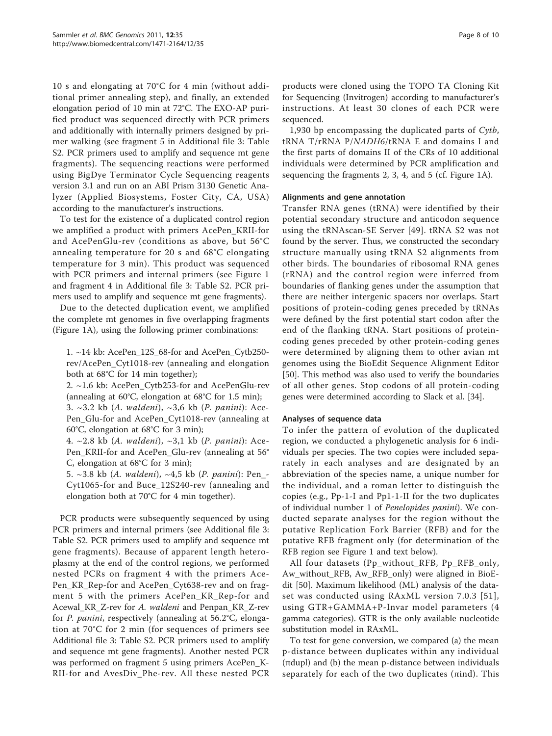10 s and elongating at 70°C for 4 min (without additional primer annealing step), and finally, an extended elongation period of 10 min at 72°C. The EXO-AP purified product was sequenced directly with PCR primers and additionally with internally primers designed by primer walking (see fragment 5 in Additional file [3](#page-8-0): Table S2. PCR primers used to amplify and sequence mt gene fragments). The sequencing reactions were performed using BigDye Terminator Cycle Sequencing reagents version 3.1 and run on an ABI Prism 3130 Genetic Analyzer (Applied Biosystems, Foster City, CA, USA) according to the manufacturer's instructions.

To test for the existence of a duplicated control region we amplified a product with primers AcePen\_KRII-for and AcePenGlu-rev (conditions as above, but 56°C annealing temperature for 20 s and 68°C elongating temperature for 3 min). This product was sequenced with PCR primers and internal primers (see Figure [1](#page-2-0) and fragment 4 in Additional file [3](#page-8-0): Table S2. PCR primers used to amplify and sequence mt gene fragments).

Due to the detected duplication event, we amplified the complete mt genomes in five overlapping fragments (Figure [1A\)](#page-2-0), using the following primer combinations:

1. ~14 kb: AcePen\_12S\_68-for and AcePen\_Cytb250 rev/AcePen\_Cyt1018-rev (annealing and elongation both at 68°C for 14 min together);

2. ~1.6 kb: AcePen\_Cytb253-for and AcePenGlu-rev (annealing at 60°C, elongation at 68°C for 1.5 min);

3. ~3.2 kb (A. waldeni), ~3,6 kb (P. panini): Ace-Pen\_Glu-for and AcePen\_Cyt1018-rev (annealing at 60°C, elongation at 68°C for 3 min);

4.  $\sim$ 2.8 kb (A. waldeni),  $\sim$ 3,1 kb (P. panini): Ace-Pen\_KRII-for and AcePen\_Glu-rev (annealing at 56° C, elongation at 68°C for 3 min);

5. ~3.8 kb (A. waldeni), ~4,5 kb (P. panini): Pen\_- Cyt1065-for and Buce\_12S240-rev (annealing and elongation both at 70°C for 4 min together).

PCR products were subsequently sequenced by using PCR primers and internal primers (see Additional file [3](#page-8-0): Table S2. PCR primers used to amplify and sequence mt gene fragments). Because of apparent length heteroplasmy at the end of the control regions, we performed nested PCRs on fragment 4 with the primers Ace-Pen\_KR\_Rep-for and AcePen\_Cyt638-rev and on fragment 5 with the primers AcePen\_KR\_Rep-for and Acewal\_KR\_Z-rev for A. waldeni and Penpan\_KR\_Z-rev for P. panini, respectively (annealing at 56.2°C, elongation at 70°C for 2 min (for sequences of primers see Additional file [3:](#page-8-0) Table S2. PCR primers used to amplify and sequence mt gene fragments). Another nested PCR was performed on fragment 5 using primers AcePen\_K-RII-for and AvesDiv\_Phe-rev. All these nested PCR

products were cloned using the TOPO TA Cloning Kit for Sequencing (Invitrogen) according to manufacturer's instructions. At least 30 clones of each PCR were sequenced.

1,930 bp encompassing the duplicated parts of Cytb, tRNA T/rRNA P/NADH6/tRNA E and domains I and the first parts of domains II of the CRs of 10 additional individuals were determined by PCR amplification and sequencing the fragments 2, 3, 4, and 5 (cf. Figure [1A\)](#page-2-0).

#### Alignments and gene annotation

Transfer RNA genes (tRNA) were identified by their potential secondary structure and anticodon sequence using the tRNAscan-SE Server [[49](#page-9-0)]. tRNA S2 was not found by the server. Thus, we constructed the secondary structure manually using tRNA S2 alignments from other birds. The boundaries of ribosomal RNA genes (rRNA) and the control region were inferred from boundaries of flanking genes under the assumption that there are neither intergenic spacers nor overlaps. Start positions of protein-coding genes preceded by tRNAs were defined by the first potential start codon after the end of the flanking tRNA. Start positions of proteincoding genes preceded by other protein-coding genes were determined by aligning them to other avian mt genomes using the BioEdit Sequence Alignment Editor [[50\]](#page-9-0). This method was also used to verify the boundaries of all other genes. Stop codons of all protein-coding genes were determined according to Slack et al. [[34](#page-9-0)].

#### Analyses of sequence data

To infer the pattern of evolution of the duplicated region, we conducted a phylogenetic analysis for 6 individuals per species. The two copies were included separately in each analyses and are designated by an abbreviation of the species name, a unique number for the individual, and a roman letter to distinguish the copies (e.g., Pp-1-I and Pp1-1-II for the two duplicates of individual number 1 of Penelopides panini). We conducted separate analyses for the region without the putative Replication Fork Barrier (RFB) and for the putative RFB fragment only (for determination of the RFB region see Figure [1](#page-2-0) and text below).

All four datasets (Pp\_without\_RFB, Pp\_RFB\_only, Aw\_without\_RFB, Aw\_RFB\_only) were aligned in BioEdit [\[50](#page-9-0)]. Maximum likelihood (ML) analysis of the dataset was conducted using RAxML version 7.0.3 [[51\]](#page-9-0), using GTR+GAMMA+P-Invar model parameters (4 gamma categories). GTR is the only available nucleotide substitution model in RAxML.

To test for gene conversion, we compared (a) the mean p-distance between duplicates within any individual (πdupl) and (b) the mean p-distance between individuals separately for each of the two duplicates (πind). This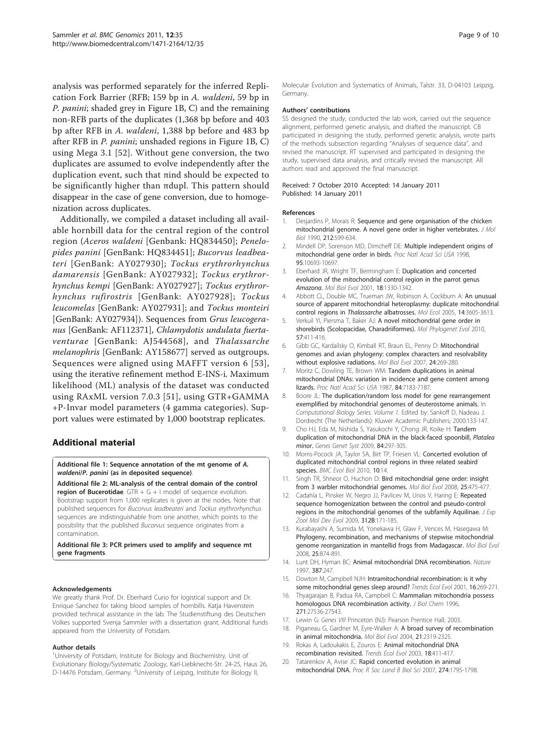<span id="page-8-0"></span>analysis was performed separately for the inferred Replication Fork Barrier (RFB; 159 bp in A. waldeni, 59 bp in P. panini; shaded grey in Figure [1B, C](#page-2-0)) and the remaining non-RFB parts of the duplicates (1,368 bp before and 403 bp after RFB in A. waldeni, 1,388 bp before and 483 bp after RFB in P. panini; unshaded regions in Figure [1B, C](#page-2-0)) using Mega 3.1 [\[52](#page-9-0)]. Without gene conversion, the two duplicates are assumed to evolve independently after the duplication event, such that πind should be expected to be significantly higher than πdupl. This pattern should disappear in the case of gene conversion, due to homogenization across duplicates.

Additionally, we compiled a dataset including all available hornbill data for the central region of the control region (Aceros waldeni [Genbank: [HQ834450\]](http://www.ncbi.nih.gov/entrez/query.fcgi?db=Nucleotide&cmd=search&term=HQ834450); Penelopides panini [GenBank: [HQ834451\]](http://www.ncbi.nih.gov/entrez/query.fcgi?db=Nucleotide&cmd=search&term=HQ834451); Bucorvus leadbeateri [GenBank: [AY027930\]](http://www.ncbi.nih.gov/entrez/query.fcgi?db=Nucleotide&cmd=search&term=AY027930); Tockus erythrorhynchus damarensis [GenBank: [AY027932](http://www.ncbi.nih.gov/entrez/query.fcgi?db=Nucleotide&cmd=search&term=AY027932)]; Tockus erythrorhynchus kempi [GenBank: [AY027927\]](http://www.ncbi.nih.gov/entrez/query.fcgi?db=Nucleotide&cmd=search&term=AY027927); Tockus erythrorhynchus rufirostris [GenBank: [AY027928\]](http://www.ncbi.nih.gov/entrez/query.fcgi?db=Nucleotide&cmd=search&term=AY027928); Tockus leucomelas [GenBank: [AY027931](http://www.ncbi.nih.gov/entrez/query.fcgi?db=Nucleotide&cmd=search&term=AY027931)]; and Tockus monteiri [GenBank: [AY027934\]](http://www.ncbi.nih.gov/entrez/query.fcgi?db=Nucleotide&cmd=search&term=AY027934)). Sequences from Grus leucogeranus [GenBank: [AF112371\]](http://www.ncbi.nih.gov/entrez/query.fcgi?db=Nucleotide&cmd=search&term=AF112371), Chlamydotis undulata fuertaventurae [GenBank: [AJ544568\]](http://www.ncbi.nih.gov/entrez/query.fcgi?db=Nucleotide&cmd=search&term=AJ544568), and Thalassarche melanophris [GenBank: [AY158677\]](http://www.ncbi.nih.gov/entrez/query.fcgi?db=Nucleotide&cmd=search&term=AY158677) served as outgroups. Sequences were aligned using MAFFT version 6 [\[53\]](#page-9-0), using the iterative refinement method E-INS-i. Maximum likelihood (ML) analysis of the dataset was conducted using RAxML version 7.0.3 [\[51\]](#page-9-0), using GTR+GAMMA +P-Invar model parameters (4 gamma categories). Support values were estimated by 1,000 bootstrap replicates.

## Additional material

[Additional file 1: S](http://www.biomedcentral.com/content/supplementary/1471-2164-12-35-S1.DOC)equence annotation of the mt genome of A. waldeni/P. panini (as in deposited sequence).

[Additional file 2: M](http://www.biomedcentral.com/content/supplementary/1471-2164-12-35-S2.PDF)L-analysis of the central domain of the control **region of Bucerotidae**. GTR  $+$  G  $+$  I model of sequence evolution. Bootstrap support from 1,000 replicates is given at the nodes. Note that published sequences for Bucorvus leadbeateri and Tockus erythrorhynchus sequences are indistinguishable from one another, which points to the possibility that the published Bucorvus sequence originates from a contamination.

[Additional file 3: P](http://www.biomedcentral.com/content/supplementary/1471-2164-12-35-S3.DOC)CR primers used to amplify and sequence mt gene fragments.

#### Acknowledgements

We greatly thank Prof. Dr. Eberhard Curio for logistical support and Dr. Enrique Sanchez for taking blood samples of hornbills. Katja Havenstein provided technical assistance in the lab. The Studienstiftung des Deutschen Volkes supported Svenja Sammler with a dissertation grant. Additional funds appeared from the University of Potsdam.

#### Author details

<sup>1</sup>University of Potsdam, Institute for Biology and Biochemistry, Unit of Evolutionary Biology/Systematic Zoology, Karl-Liebknecht-Str. 24-25, Haus 26, D-14476 Potsdam, Germany. <sup>2</sup>University of Leipzig, Institute for Biology II,

Molecular Evolution and Systematics of Animals, Talstr. 33, D-04103 Leipzig, Germany.

#### Authors' contributions

SS designed the study, conducted the lab work, carried out the sequence alignment, performed genetic analysis, and drafted the manuscript. CB participated in designing the study, performed genetic analysis, wrote parts of the methods subsection regarding "Analyses of sequence data", and revised the manuscript. RT supervised and participated in designing the study, supervised data analysis, and critically revised the manuscript. All authors read and approved the final manuscript.

#### Received: 7 October 2010 Accepted: 14 January 2011 Published: 14 January 2011

#### References

- 1. Desjardins P, Morais R: [Sequence and gene organisation of the chicken](http://www.ncbi.nlm.nih.gov/pubmed/2329578?dopt=Abstract) [mitochondrial genome. A novel gene order in higher vertebrates.](http://www.ncbi.nlm.nih.gov/pubmed/2329578?dopt=Abstract) J Mol Biol 1990, 212:599-634.
- 2. Mindell DP, Sorenson MD, Dimcheff DE: [Multiple independent origins of](http://www.ncbi.nlm.nih.gov/pubmed/9724766?dopt=Abstract) [mitochondrial gene order in birds.](http://www.ncbi.nlm.nih.gov/pubmed/9724766?dopt=Abstract) Proc Natl Acad Sci USA 1998, 95:10693-10697.
- 3. Eberhard JR, Wright TF, Bermingham E: [Duplication and concerted](http://www.ncbi.nlm.nih.gov/pubmed/11420371?dopt=Abstract) [evolution of the mitochondrial control region in the parrot genus](http://www.ncbi.nlm.nih.gov/pubmed/11420371?dopt=Abstract) [Amazona](http://www.ncbi.nlm.nih.gov/pubmed/11420371?dopt=Abstract). Mol Biol Evol 2001, 18:1330-1342.
- 4. Abbott CL, Double MC, Trueman JW, Robinson A, Cockburn A: [An unusual](http://www.ncbi.nlm.nih.gov/pubmed/16156827?dopt=Abstract) [source of apparent mitochondrial heteroplasmy: duplicate mitochondrial](http://www.ncbi.nlm.nih.gov/pubmed/16156827?dopt=Abstract) [control regions in](http://www.ncbi.nlm.nih.gov/pubmed/16156827?dopt=Abstract) Thalassarche albatrosses. Mol Ecol 2005, 14:3605-3613.
- 5. Verkuil YI, Piersma T, Baker AJ: [A novel mitochondrial gene order in](http://www.ncbi.nlm.nih.gov/pubmed/20601013?dopt=Abstract) [shorebirds \(Scolopacidae, Charadriiformes\).](http://www.ncbi.nlm.nih.gov/pubmed/20601013?dopt=Abstract) Mol Phylogenet Evol 2010, 57:411-416.
- Gibb GC, Kardailsky O, Kimball RT, Braun EL, Penny D: [Mitochondrial](http://www.ncbi.nlm.nih.gov/pubmed/17062634?dopt=Abstract) [genomes and avian phylogeny: complex characters and resolvability](http://www.ncbi.nlm.nih.gov/pubmed/17062634?dopt=Abstract) [without explosive radiations.](http://www.ncbi.nlm.nih.gov/pubmed/17062634?dopt=Abstract) Mol Biol Evol 2007, 24:269-280.
- 7. Moritz C, Dowling TE, Brown WM: [Tandem duplications in animal](http://www.ncbi.nlm.nih.gov/pubmed/3478691?dopt=Abstract) [mitochondrial DNAs: variation in incidence and gene content among](http://www.ncbi.nlm.nih.gov/pubmed/3478691?dopt=Abstract) [lizards.](http://www.ncbi.nlm.nih.gov/pubmed/3478691?dopt=Abstract) Proc Natl Acad Sci USA 1987, 84:7183-7187
- Boore JL: The duplication/random loss model for gene rearrangement exemplified by mitochondrial genomes of deuterostome animals. In Computational Biology Series. Volume 1. Edited by: Sankoff D, Nadeau J. Dordrecht (The Netherlands): Kluwer Academic Publishers; 2000:133-147.
- 9. Cho HJ, Eda M, Nishida S, Yasukochi Y, Chong JR, Koike H: [Tandem](http://www.ncbi.nlm.nih.gov/pubmed/20057167?dopt=Abstract) [duplication of mitochondrial DNA in the black-faced spoonbill,](http://www.ncbi.nlm.nih.gov/pubmed/20057167?dopt=Abstract) Platalea [minor](http://www.ncbi.nlm.nih.gov/pubmed/20057167?dopt=Abstract). Genes Genet Syst 2009, 84:297-305.
- 10. Morris-Pocock JA, Taylor SA, Birt TP, Friesen VL: [Concerted evolution of](http://www.ncbi.nlm.nih.gov/pubmed/20074358?dopt=Abstract) [duplicated mitochondrial control regions in three related seabird](http://www.ncbi.nlm.nih.gov/pubmed/20074358?dopt=Abstract) [species.](http://www.ncbi.nlm.nih.gov/pubmed/20074358?dopt=Abstract) BMC Evol Biol 2010, 10:14.
- 11. Singh TR, Shneor O, Huchon D: [Bird mitochondrial gene order: insight](http://www.ncbi.nlm.nih.gov/pubmed/18178969?dopt=Abstract) [from 3 warbler mitochondrial genomes.](http://www.ncbi.nlm.nih.gov/pubmed/18178969?dopt=Abstract) Mol Biol Evol 2008, 25:475-477.
- 12. Cadahía L, Pinsker W, Negro JJ, Pavlicev M, Urios V, Haring E: Repeated sequence homogenization between the control and pseudo-control regions in the mitochondrial genomes of the subfamily Aquilinae. J Exp Zool Mol Dev Evol 2009, 312B:171-185.
- 13. Kurabayashi A, Sumida M, Yonekawa H, Glaw F, Vences M, Hasegawa M: [Phylogeny, recombination, and mechanisms of stepwise mitochondrial](http://www.ncbi.nlm.nih.gov/pubmed/18263605?dopt=Abstract) [genome reorganization in mantellid frogs from Madagascar.](http://www.ncbi.nlm.nih.gov/pubmed/18263605?dopt=Abstract) Mol Biol Evol 2008, 25:874-891.
- 14. Lunt DH, Hyman BC: [Animal mitochondrial DNA recombination.](http://www.ncbi.nlm.nih.gov/pubmed/9153388?dopt=Abstract) Nature 1997, 387:247.
- 15. Dowton M, Campbell NJH: [Intramitochondrial recombination: is it why](http://www.ncbi.nlm.nih.gov/pubmed/11369092?dopt=Abstract) [some mitochondrial genes sleep around?](http://www.ncbi.nlm.nih.gov/pubmed/11369092?dopt=Abstract) Trends Ecol Evol 2001, 16:269-271.
- 16. Thyagarajan B, Padua RA, Campbell C: [Mammalian mitochondria possess](http://www.ncbi.nlm.nih.gov/pubmed/8910339?dopt=Abstract) [homologous DNA recombination activity.](http://www.ncbi.nlm.nih.gov/pubmed/8910339?dopt=Abstract) J Biol Chem 1996, 271:27536-27543.
- 17. Lewin G: Genes VIII Princeton (NJ): Pearson Prentice Hall; 2003.
- 18. Piganeau G, Gardner M, Eyre-Walker A: [A broad survey of recombination](http://www.ncbi.nlm.nih.gov/pubmed/15342796?dopt=Abstract) [in animal mitochondria.](http://www.ncbi.nlm.nih.gov/pubmed/15342796?dopt=Abstract) Mol Biol Evol 2004, 21:2319-2325.
- 19. Rokas A, Ladoukakis E, Zouros E: Animal mitochondrial DNA recombination revisited. Trends Ecol Evol 2003, 18:411-417.
- 20. Tatarenkov A, Avise JC: Rapid concerted evolution in animal mitochondrial DNA. Proc R Soc Lond B Biol Sci 2007, 274:1795-1798.